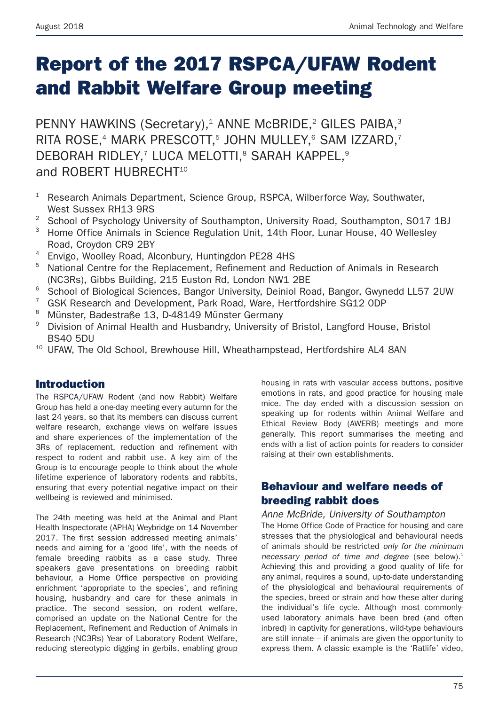# **Report of the 2017 RSPCA/UFAW Rodent and Rabbit Welfare Group meeting**

PENNY HAWKINS (Secretary),<sup>1</sup> ANNE McBRIDE,<sup>2</sup> GILES PAIBA,<sup>3</sup> RITA ROSE,<sup>4</sup> MARK PRESCOTT,<sup>5</sup> JOHN MULLEY,<sup>6</sup> SAM IZZARD,<sup>7</sup> DEBORAH RIDLEY,<sup>7</sup> LUCA MELOTTI,<sup>8</sup> SARAH KAPPEL,<sup>9</sup> and ROBERT HUBRECHT<sup>10</sup>

- <sup>1</sup> Research Animals Department, Science Group, RSPCA, Wilberforce Way, Southwater. West Sussex RH13 9RS
- <sup>2</sup> School of Psychology University of Southampton, University Road, Southampton, SO17 1BJ
- <sup>3</sup> Home Office Animals in Science Regulation Unit, 14th Floor, Lunar House, 40 Wellesley Road, Croydon CR9 2BY
- <sup>4</sup> Envigo, Woolley Road, Alconbury, Huntingdon PE28 4HS
- <sup>5</sup> National Centre for the Replacement, Refinement and Reduction of Animals in Research (NC3Rs), Gibbs Building, 215 Euston Rd, London NW1 2BE
- <sup>6</sup> School of Biological Sciences, Bangor University, Deiniol Road, Bangor, Gwynedd LL57 2UW
- <sup>7</sup> GSK Research and Development, Park Road, Ware, Hertfordshire SG12 ODP
- <sup>8</sup> Münster, Badestraße 13, D-48149 Münster Germany
- <sup>9</sup> Division of Animal Health and Husbandry, University of Bristol, Langford House, Bristol BS40 5DU
- <sup>10</sup> UFAW. The Old School, Brewhouse Hill, Wheathampstead, Hertfordshire AL4 8AN

## **Introduction**

The RSPCA/UFAW Rodent (and now Rabbit) Welfare Group has held a one-day meeting every autumn for the last 24 years, so that its members can discuss current welfare research, exchange views on welfare issues and share experiences of the implementation of the 3Rs of replacement, reduction and refinement with respect to rodent and rabbit use. A key aim of the Group is to encourage people to think about the whole lifetime experience of laboratory rodents and rabbits, ensuring that every potential negative impact on their wellbeing is reviewed and minimised.

The 24th meeting was held at the Animal and Plant Health Inspectorate (APHA) Weybridge on 14 November 2017. The first session addressed meeting animals' needs and aiming for a 'good life', with the needs of female breeding rabbits as a case study. Three speakers gave presentations on breeding rabbit behaviour, a Home Office perspective on providing enrichment 'appropriate to the species', and refining housing, husbandry and care for these animals in practice. The second session, on rodent welfare, comprised an update on the National Centre for the Replacement, Refinement and Reduction of Animals in Research (NC3Rs) Year of Laboratory Rodent Welfare, reducing stereotypic digging in gerbils, enabling group housing in rats with vascular access buttons, positive emotions in rats, and good practice for housing male mice. The day ended with a discussion session on speaking up for rodents within Animal Welfare and Ethical Review Body (AWERB) meetings and more generally. This report summarises the meeting and ends with a list of action points for readers to consider raising at their own establishments.

# **Behaviour and welfare needs of breeding rabbit does**

*Anne McBride, University of Southampton* The Home Office Code of Practice for housing and care stresses that the physiological and behavioural needs of animals should be restricted *only for the minimum* necessary period of time and degree (see below).<sup>1</sup> Achieving this and providing a good quality of life for any animal, requires a sound, up-to-date understanding of the physiological and behavioural requirements of the species, breed or strain and how these alter during the individual's life cycle. Although most commonlyused laboratory animals have been bred (and often inbred) in captivity for generations, wild-type behaviours are still innate – if animals are given the opportunity to express them. A classic example is the 'Ratlife' video,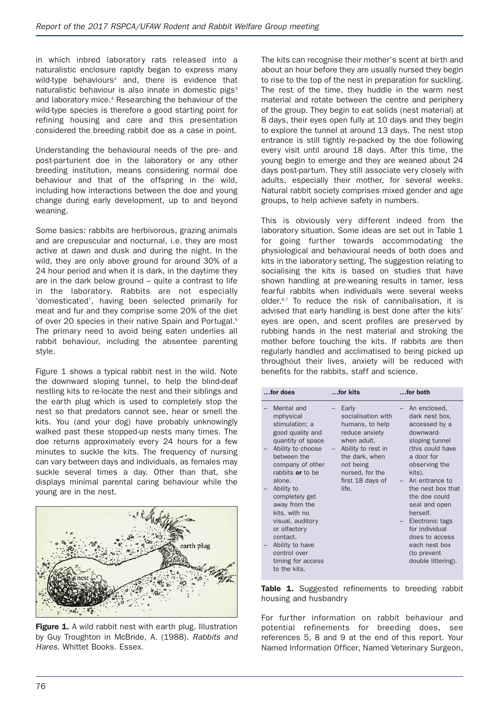in which inbred laboratory rats released into a naturalistic enclosure rapidly began to express many wild-type behaviours<sup>2</sup> and, there is evidence that naturalistic behaviour is also innate in domestic pigs<sup>3</sup> and laboratory mice.<sup>4</sup> Researching the behaviour of the wild-type species is therefore a good starting point for refining housing and care and this presentation considered the breeding rabbit doe as a case in point.

Understanding the behavioural needs of the pre- and post-parturient doe in the laboratory or any other breeding institution, means considering normal doe behaviour and that of the offspring in the wild, including how interactions between the doe and young change during early development, up to and beyond weaning.

Some basics: rabbits are herbivorous, grazing animals and are crepuscular and nocturnal, i.e. they are most active at dawn and dusk and during the night. In the wild, they are only above ground for around 30% of a 24 hour period and when it is dark, in the daytime they are in the dark below ground – quite a contrast to life in the laboratory. Rabbits are not especially 'domesticated', having been selected primarily for meat and fur and they comprise some 20% of the diet of over 20 species in their native Spain and Portugal.<sup>5</sup> The primary need to avoid being eaten underlies all rabbit behaviour, including the absentee parenting style.

Figure 1 shows a typical rabbit nest in the wild. Note the downward sloping tunnel, to help the blind-deaf nestling kits to re-locate the nest and their siblings and the earth plug which is used to completely stop the nest so that predators cannot see, hear or smell the kits. You (and your dog) have probably unknowingly walked past these stopped-up nests many times. The doe returns approximately every 24 hours for a few minutes to suckle the kits. The frequency of nursing can vary between days and individuals, as females may suckle several times a day. Other than that, she displays minimal parental caring behaviour while the young are in the nest.



Figure 1. A wild rabbit nest with earth plug. Illustration by Guy Troughton in McBride, A. (1988). *Rabbits and Hares.* Whittet Books. Essex.

The kits can recognise their mother's scent at birth and about an hour before they are usually nursed they begin to rise to the top of the nest in preparation for suckling. The rest of the time, they huddle in the warm nest material and rotate between the centre and periphery of the group. They begin to eat solids (nest material) at 8 days, their eyes open fully at 10 days and they begin to explore the tunnel at around 13 days. The nest stop entrance is still tightly re-packed by the doe following every visit until around 18 days. After this time, the young begin to emerge and they are weaned about 24 days post-partum. They still associate very closely with adults, especially their mother, for several weeks. Natural rabbit society comprises mixed gender and age groups, to help achieve safety in numbers.

This is obviously very different indeed from the laboratory situation. Some ideas are set out in Table 1 for going further towards accommodating the physiological and behavioural needs of both does and kits in the laboratory setting. The suggestion relating to socialising the kits is based on studies that have shown handling at pre-weaning results in tamer, less fearful rabbits when individuals were several weeks older.6,7 To reduce the risk of cannibalisation, it is advised that early handling is best done after the kits' eyes are open, and scent profiles are preserved by rubbing hands in the nest material and stroking the mother before touching the kits. If rabbits are then regularly handled and acclimatised to being picked up throughout their lives, anxiety will be reduced with benefits for the rabbits, staff and science.

| for does |                                                                                                                | for kits                                                                                 | for both                                                                                                               |
|----------|----------------------------------------------------------------------------------------------------------------|------------------------------------------------------------------------------------------|------------------------------------------------------------------------------------------------------------------------|
|          | Mental and<br>mphysical<br>stimulation; a<br>good quality and<br>quantity of space                             | Early<br>socialisation with<br>humans, to help<br>reduce anxiety<br>when adult.          | An enclosed,<br>dark nest box,<br>accessed by a<br>downward-<br>sloping tunnel                                         |
|          | Ability to choose<br>between the<br>company of other<br>rabbits or to be<br>alone.                             | Ability to rest in<br>the dark, when<br>not being<br>nursed, for the<br>first 18 days of | (this could have<br>a door for<br>observing the<br>kits).<br>An entrance to                                            |
|          | Ability to<br>completely get<br>away from the<br>kits, with no<br>visual, auditory<br>or olfactory<br>contact. | life.                                                                                    | the nest box that<br>the doe could<br>seal and open<br>herself.<br>Electronic tags<br>for individual<br>does to access |
|          | Ability to have<br>control over<br>timing for access<br>to the kits.                                           |                                                                                          | each nest box<br>(to prevent<br>double littering).                                                                     |

Table 1. Suggested refinements to breeding rabbit housing and husbandry

For further information on rabbit behaviour and potential refinements for breeding does, see references 5, 8 and 9 at the end of this report. Your Named Information Officer, Named Veterinary Surgeon,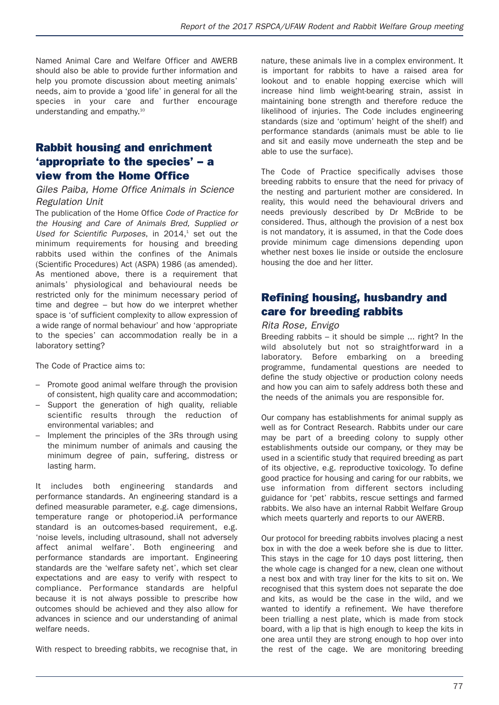Named Animal Care and Welfare Officer and AWERB should also be able to provide further information and help you promote discussion about meeting animals' needs, aim to provide a 'good life' in general for all the species in your care and further encourage understanding and empathy.10

# **Rabbit housing and enrichment 'appropriate to the species' – a view from the Home Office**

#### *Giles Paiba, Home Office Animals in Science Regulation Unit*

The publication of the Home Office *Code of Practice for the Housing and Care of Animals Bred, Supplied or* Used for Scientific Purposes, in 2014,<sup>1</sup> set out the minimum requirements for housing and breeding rabbits used within the confines of the Animals (Scientific Procedures) Act (ASPA) 1986 (as amended). As mentioned above, there is a requirement that animals' physiological and behavioural needs be restricted only for the minimum necessary period of time and degree – but how do we interpret whether space is 'of sufficient complexity to allow expression of a wide range of normal behaviour' and how 'appropriate to the species' can accommodation really be in a laboratory setting?

The Code of Practice aims to:

- Promote good animal welfare through the provision of consistent, high quality care and accommodation;
- Support the generation of high quality, reliable scientific results through the reduction of environmental variables; and
- Implement the principles of the 3Rs through using the minimum number of animals and causing the minimum degree of pain, suffering, distress or lasting harm.

It includes both engineering standards and performance standards. An engineering standard is a defined measurable parameter, e.g. cage dimensions, temperature range or photoperiod.iA performance standard is an outcomes-based requirement, e.g. 'noise levels, including ultrasound, shall not adversely affect animal welfare'. Both engineering and performance standards are important. Engineering standards are the 'welfare safety net', which set clear expectations and are easy to verify with respect to compliance. Performance standards are helpful because it is not always possible to prescribe how outcomes should be achieved and they also allow for advances in science and our understanding of animal welfare needs.

With respect to breeding rabbits, we recognise that, in

nature, these animals live in a complex environment. It is important for rabbits to have a raised area for lookout and to enable hopping exercise which will increase hind limb weight-bearing strain, assist in maintaining bone strength and therefore reduce the likelihood of injuries. The Code includes engineering standards (size and 'optimum' height of the shelf) and performance standards (animals must be able to lie and sit and easily move underneath the step and be able to use the surface).

The Code of Practice specifically advises those breeding rabbits to ensure that the need for privacy of the nesting and parturient mother are considered. In reality, this would need the behavioural drivers and needs previously described by Dr McBride to be considered. Thus, although the provision of a nest box is not mandatory, it is assumed, in that the Code does provide minimum cage dimensions depending upon whether nest boxes lie inside or outside the enclosure housing the doe and her litter.

## **Refining housing, husbandry and care for breeding rabbits**

#### *Rita Rose, Envigo*

Breeding rabbits – it should be simple ... right? In the wild absolutely but not so straightforward in a laboratory. Before embarking on a breeding programme, fundamental questions are needed to define the study objective or production colony needs and how you can aim to safely address both these and the needs of the animals you are responsible for.

Our company has establishments for animal supply as well as for Contract Research. Rabbits under our care may be part of a breeding colony to supply other establishments outside our company, or they may be used in a scientific study that required breeding as part of its objective, e.g. reproductive toxicology. To define good practice for housing and caring for our rabbits, we use information from different sectors including guidance for 'pet' rabbits, rescue settings and farmed rabbits. We also have an internal Rabbit Welfare Group which meets quarterly and reports to our AWERB.

Our protocol for breeding rabbits involves placing a nest box in with the doe a week before she is due to litter. This stays in the cage for 10 days post littering, then the whole cage is changed for a new, clean one without a nest box and with tray liner for the kits to sit on. We recognised that this system does not separate the doe and kits, as would be the case in the wild, and we wanted to identify a refinement. We have therefore been trialling a nest plate, which is made from stock board, with a lip that is high enough to keep the kits in one area until they are strong enough to hop over into the rest of the cage. We are monitoring breeding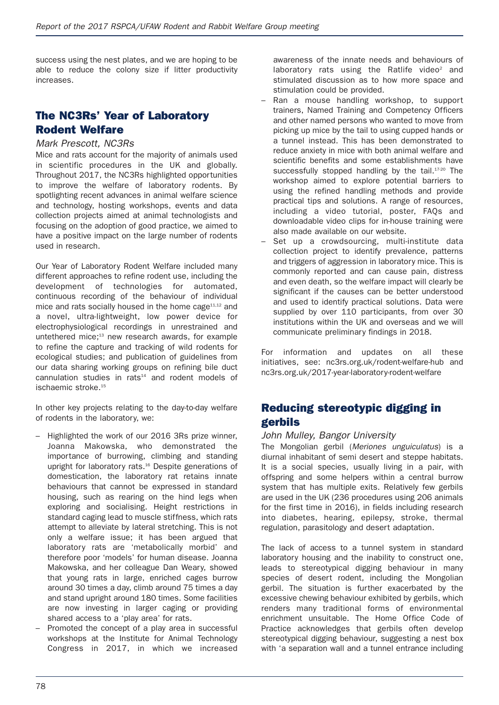success using the nest plates, and we are hoping to be able to reduce the colony size if litter productivity increases.

## **The NC3Rs' Year of Laboratory Rodent Welfare**

#### *Mark Prescott, NC3Rs*

Mice and rats account for the majority of animals used in scientific procedures in the UK and globally. Throughout 2017, the NC3Rs highlighted opportunities to improve the welfare of laboratory rodents. By spotlighting recent advances in animal welfare science and technology, hosting workshops, events and data collection projects aimed at animal technologists and focusing on the adoption of good practice, we aimed to have a positive impact on the large number of rodents used in research.

Our Year of Laboratory Rodent Welfare included many different approaches to refine rodent use, including the development of technologies for automated, continuous recording of the behaviour of individual mice and rats socially housed in the home cage<sup>11,12</sup> and a novel, ultra-lightweight, low power device for electrophysiological recordings in unrestrained and untethered mice;<sup>13</sup> new research awards, for example to refine the capture and tracking of wild rodents for ecological studies; and publication of guidelines from our data sharing working groups on refining bile duct  $c$ annulation studies in rats $14$  and rodent models of ischaemic stroke.<sup>15</sup>

In other key projects relating to the day-to-day welfare of rodents in the laboratory, we:

- Highlighted the work of our 2016 3Rs prize winner, Joanna Makowska, who demonstrated the importance of burrowing, climbing and standing upright for laboratory rats.16 Despite generations of domestication, the laboratory rat retains innate behaviours that cannot be expressed in standard housing, such as rearing on the hind legs when exploring and socialising. Height restrictions in standard caging lead to muscle stiffness, which rats attempt to alleviate by lateral stretching. This is not only a welfare issue; it has been argued that laboratory rats are 'metabolically morbid' and therefore poor 'models' for human disease. Joanna Makowska, and her colleague Dan Weary, showed that young rats in large, enriched cages burrow around 30 times a day, climb around 75 times a day and stand upright around 180 times. Some facilities are now investing in larger caging or providing shared access to a 'play area' for rats.
- Promoted the concept of a play area in successful workshops at the Institute for Animal Technology Congress in 2017, in which we increased

awareness of the innate needs and behaviours of laboratory rats using the Ratlife video $2$  and stimulated discussion as to how more space and stimulation could be provided.

- Ran a mouse handling workshop, to support trainers, Named Training and Competency Officers and other named persons who wanted to move from picking up mice by the tail to using cupped hands or a tunnel instead. This has been demonstrated to reduce anxiety in mice with both animal welfare and scientific benefits and some establishments have successfully stopped handling by the tail.<sup>17-20</sup> The workshop aimed to explore potential barriers to using the refined handling methods and provide practical tips and solutions. A range of resources, including a video tutorial, poster, FAQs and downloadable video clips for in-house training were also made available on our website.
- Set up a crowdsourcing, multi-institute data collection project to identify prevalence, patterns and triggers of aggression in laboratory mice. This is commonly reported and can cause pain, distress and even death, so the welfare impact will clearly be significant if the causes can be better understood and used to identify practical solutions. Data were supplied by over 110 participants, from over 30 institutions within the UK and overseas and we will communicate preliminary findings in 2018.

For information and updates on all these initiatives, see: nc3rs.org.uk/rodent-welfare-hub and nc3rs.org.uk/2017-year-laboratory-rodent-welfare

## **Reducing stereotypic digging in gerbils**

#### *John Mulley, Bangor University*

The Mongolian gerbil (*Meriones unguiculatus*) is a diurnal inhabitant of semi desert and steppe habitats. It is a social species, usually living in a pair, with offspring and some helpers within a central burrow system that has multiple exits. Relatively few gerbils are used in the UK (236 procedures using 206 animals for the first time in 2016), in fields including research into diabetes, hearing, epilepsy, stroke, thermal regulation, parasitology and desert adaptation.

The lack of access to a tunnel system in standard laboratory housing and the inability to construct one, leads to stereotypical digging behaviour in many species of desert rodent, including the Mongolian gerbil. The situation is further exacerbated by the excessive chewing behaviour exhibited by gerbils, which renders many traditional forms of environmental enrichment unsuitable. The Home Office Code of Practice acknowledges that gerbils often develop stereotypical digging behaviour, suggesting a nest box with 'a separation wall and a tunnel entrance including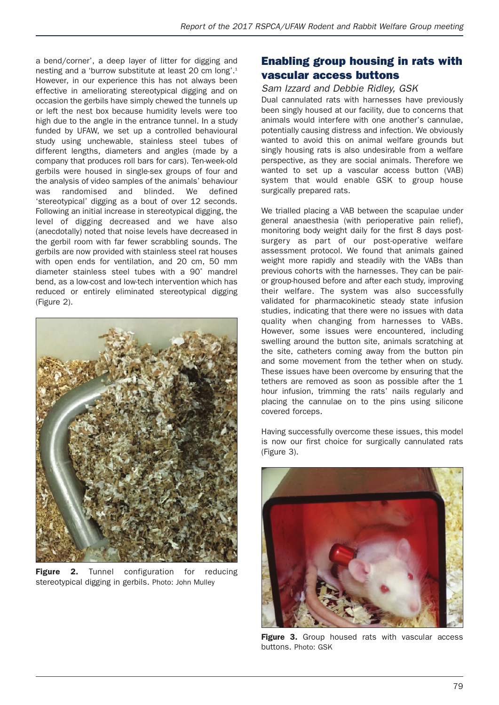a bend/corner', a deep layer of litter for digging and nesting and a 'burrow substitute at least 20 cm long'.1 However, in our experience this has not always been effective in ameliorating stereotypical digging and on occasion the gerbils have simply chewed the tunnels up or left the nest box because humidity levels were too high due to the angle in the entrance tunnel. In a study funded by UFAW, we set up a controlled behavioural study using unchewable, stainless steel tubes of different lengths, diameters and angles (made by a company that produces roll bars for cars). Ten-week-old gerbils were housed in single-sex groups of four and the analysis of video samples of the animals' behaviour was randomised and blinded. We defined 'stereotypical' digging as a bout of over 12 seconds. Following an initial increase in stereotypical digging, the level of digging decreased and we have also (anecdotally) noted that noise levels have decreased in the gerbil room with far fewer scrabbling sounds. The gerbils are now provided with stainless steel rat houses with open ends for ventilation, and 20 cm, 50 mm diameter stainless steel tubes with a 90˚ mandrel bend, as a low-cost and low-tech intervention which has reduced or entirely eliminated stereotypical digging (Figure 2).



**Figure 2.** Tunnel configuration for reducing stereotypical digging in gerbils. Photo: John Mulley

## **Enabling group housing in rats with vascular access buttons**

#### *Sam Izzard and Debbie Ridley, GSK*

Dual cannulated rats with harnesses have previously been singly housed at our facility, due to concerns that animals would interfere with one another's cannulae, potentially causing distress and infection. We obviously wanted to avoid this on animal welfare grounds but singly housing rats is also undesirable from a welfare perspective, as they are social animals. Therefore we wanted to set up a vascular access button (VAB) system that would enable GSK to group house surgically prepared rats.

We trialled placing a VAB between the scapulae under general anaesthesia (with perioperative pain relief), monitoring body weight daily for the first 8 days postsurgery as part of our post-operative welfare assessment protocol. We found that animals gained weight more rapidly and steadily with the VABs than previous cohorts with the harnesses. They can be pairor group-housed before and after each study, improving their welfare. The system was also successfully validated for pharmacokinetic steady state infusion studies, indicating that there were no issues with data quality when changing from harnesses to VABs. However, some issues were encountered, including swelling around the button site, animals scratching at the site, catheters coming away from the button pin and some movement from the tether when on study. These issues have been overcome by ensuring that the tethers are removed as soon as possible after the 1 hour infusion, trimming the rats' nails regularly and placing the cannulae on to the pins using silicone covered forceps.

Having successfully overcome these issues, this model is now our first choice for surgically cannulated rats (Figure 3).



**Figure 3.** Group housed rats with vascular access buttons. Photo: GSK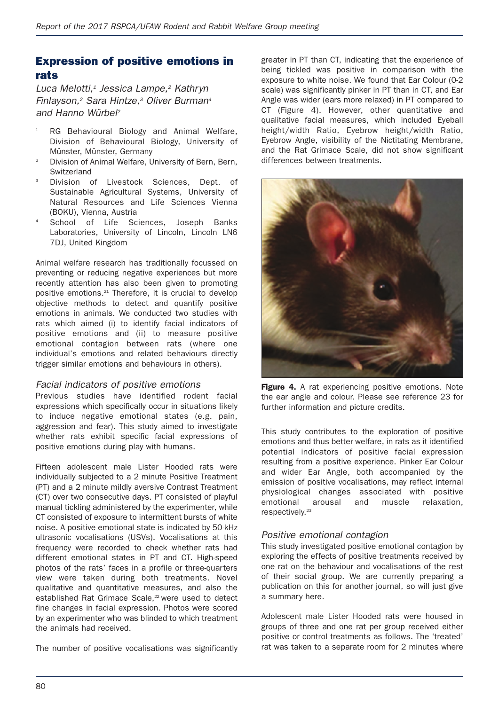# **Expression of positive emotions in rats**

*Luca Melotti,1 Jessica Lampe,2 Kathryn Finlayson,2 Sara Hintze,3 Oliver Burman4 and Hanno Würbel2*

- RG Behavioural Biology and Animal Welfare, Division of Behavioural Biology, University of Münster, Münster, Germany
- <sup>2</sup> Division of Animal Welfare, University of Bern, Bern, Switzerland
- <sup>3</sup> Division of Livestock Sciences, Dept. of Sustainable Agricultural Systems, University of Natural Resources and Life Sciences Vienna (BOKU), Vienna, Austria
- School of Life Sciences, Joseph Banks Laboratories, University of Lincoln, Lincoln LN6 7DJ, United Kingdom

Animal welfare research has traditionally focussed on preventing or reducing negative experiences but more recently attention has also been given to promoting positive emotions.21 Therefore, it is crucial to develop objective methods to detect and quantify positive emotions in animals. We conducted two studies with rats which aimed (i) to identify facial indicators of positive emotions and (ii) to measure positive emotional contagion between rats (where one individual's emotions and related behaviours directly trigger similar emotions and behaviours in others).

#### *Facial indicators of positive emotions*

Previous studies have identified rodent facial expressions which specifically occur in situations likely to induce negative emotional states (e.g. pain, aggression and fear). This study aimed to investigate whether rats exhibit specific facial expressions of positive emotions during play with humans.

Fifteen adolescent male Lister Hooded rats were individually subjected to a 2 minute Positive Treatment (PT) and a 2 minute mildly aversive Contrast Treatment (CT) over two consecutive days. PT consisted of playful manual tickling administered by the experimenter, while CT consisted of exposure to intermittent bursts of white noise. A positive emotional state is indicated by 50-kHz ultrasonic vocalisations (USVs). Vocalisations at this frequency were recorded to check whether rats had different emotional states in PT and CT. High-speed photos of the rats' faces in a profile or three-quarters view were taken during both treatments. Novel qualitative and quantitative measures, and also the established Rat Grimace Scale,<sup>22</sup> were used to detect fine changes in facial expression. Photos were scored by an experimenter who was blinded to which treatment the animals had received.

The number of positive vocalisations was significantly

greater in PT than CT, indicating that the experience of being tickled was positive in comparison with the exposure to white noise. We found that Ear Colour (0-2 scale) was significantly pinker in PT than in CT, and Ear Angle was wider (ears more relaxed) in PT compared to CT (Figure 4). However, other quantitative and qualitative facial measures, which included Eyeball height/width Ratio, Eyebrow height/width Ratio, Eyebrow Angle, visibility of the Nictitating Membrane, and the Rat Grimace Scale, did not show significant differences between treatments.



Figure 4. A rat experiencing positive emotions. Note the ear angle and colour. Please see reference 23 for further information and picture credits.

This study contributes to the exploration of positive emotions and thus better welfare, in rats as it identified potential indicators of positive facial expression resulting from a positive experience. Pinker Ear Colour and wider Ear Angle, both accompanied by the emission of positive vocalisations, may reflect internal physiological changes associated with positive emotional arousal and muscle relaxation, respectively.<sup>23</sup>

#### *Positive emotional contagion*

This study investigated positive emotional contagion by exploring the effects of positive treatments received by one rat on the behaviour and vocalisations of the rest of their social group. We are currently preparing a publication on this for another journal, so will just give a summary here.

Adolescent male Lister Hooded rats were housed in groups of three and one rat per group received either positive or control treatments as follows. The 'treated' rat was taken to a separate room for 2 minutes where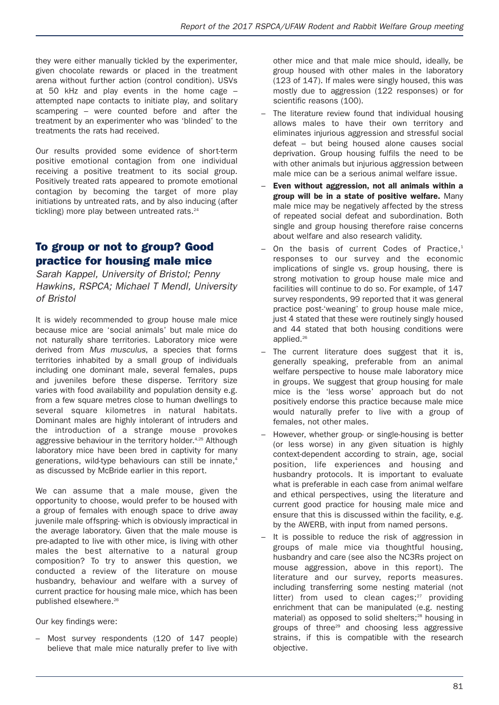they were either manually tickled by the experimenter, given chocolate rewards or placed in the treatment arena without further action (control condition). USVs at 50 kHz and play events in the home cage – attempted nape contacts to initiate play, and solitary scampering – were counted before and after the treatment by an experimenter who was 'blinded' to the treatments the rats had received.

Our results provided some evidence of short-term positive emotional contagion from one individual receiving a positive treatment to its social group. Positively treated rats appeared to promote emotional contagion by becoming the target of more play initiations by untreated rats, and by also inducing (after tickling) more play between untreated rats.<sup>24</sup>

# **To group or not to group? Good practice for housing male mice**

*Sarah Kappel, University of Bristol; Penny Hawkins, RSPCA; Michael T Mendl, University of Bristol*

It is widely recommended to group house male mice because mice are 'social animals' but male mice do not naturally share territories. Laboratory mice were derived from *Mus musculus*, a species that forms territories inhabited by a small group of individuals including one dominant male, several females, pups and juveniles before these disperse. Territory size varies with food availability and population density e.g. from a few square metres close to human dwellings to several square kilometres in natural habitats. Dominant males are highly intolerant of intruders and the introduction of a strange mouse provokes aggressive behaviour in the territory holder.<sup>4,25</sup> Although laboratory mice have been bred in captivity for many generations, wild-type behaviours can still be innate.<sup>4</sup> as discussed by McBride earlier in this report.

We can assume that a male mouse, given the opportunity to choose, would prefer to be housed with a group of females with enough space to drive away juvenile male offspring- which is obviously impractical in the average laboratory. Given that the male mouse is pre-adapted to live with other mice, is living with other males the best alternative to a natural group composition? To try to answer this question, we conducted a review of the literature on mouse husbandry, behaviour and welfare with a survey of current practice for housing male mice, which has been published elsewhere.26

Our key findings were:

Most survey respondents (120 of 147 people) believe that male mice naturally prefer to live with other mice and that male mice should, ideally, be group housed with other males in the laboratory (123 of 147). If males were singly housed, this was mostly due to aggression (122 responses) or for scientific reasons (100).

- The literature review found that individual housing allows males to have their own territory and eliminates injurious aggression and stressful social defeat – but being housed alone causes social deprivation. Group housing fulfils the need to be with other animals but injurious aggression between male mice can be a serious animal welfare issue.
- **Even without aggression, not all animals within a group will be in a state of positive welfare.** Many male mice may be negatively affected by the stress of repeated social defeat and subordination. Both single and group housing therefore raise concerns about welfare and also research validity.
- On the basis of current Codes of Practice,<sup>1</sup> responses to our survey and the economic implications of single vs. group housing, there is strong motivation to group house male mice and facilities will continue to do so. For example, of 147 survey respondents, 99 reported that it was general practice post-'weaning' to group house male mice, just 4 stated that these were routinely singly housed and 44 stated that both housing conditions were applied.26
- The current literature does suggest that it is, generally speaking, preferable from an animal welfare perspective to house male laboratory mice in groups. We suggest that group housing for male mice is the 'less worse' approach but do not positively endorse this practice because male mice would naturally prefer to live with a group of females, not other males.
- However, whether group- or single-housing is better (or less worse) in any given situation is highly context-dependent according to strain, age, social position, life experiences and housing and husbandry protocols. It is important to evaluate what is preferable in each case from animal welfare and ethical perspectives, using the literature and current good practice for housing male mice and ensure that this is discussed within the facility, e.g. by the AWERB, with input from named persons.
- It is possible to reduce the risk of aggression in groups of male mice via thoughtful housing, husbandry and care (see also the NC3Rs project on mouse aggression, above in this report). The literature and our survey, reports measures. including transferring some nesting material (not litter) from used to clean cages; $27$  providing enrichment that can be manipulated (e.g. nesting material) as opposed to solid shelters;<sup>28</sup> housing in groups of three<sup>29</sup> and choosing less aggressive strains, if this is compatible with the research objective.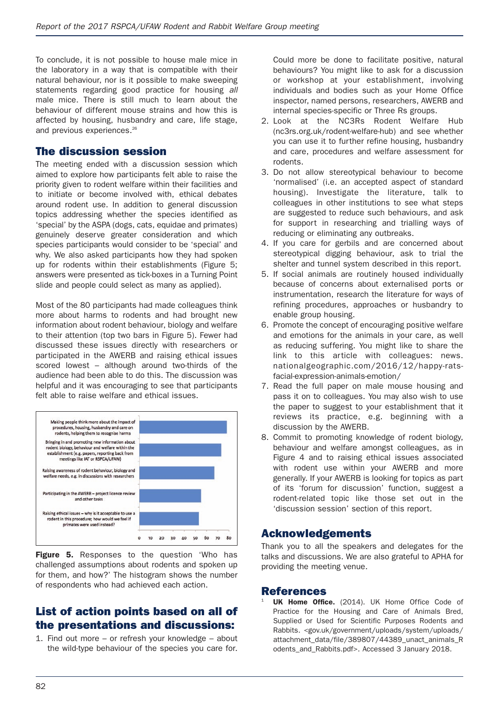To conclude, it is not possible to house male mice in the laboratory in a way that is compatible with their natural behaviour, nor is it possible to make sweeping statements regarding good practice for housing *all* male mice. There is still much to learn about the behaviour of different mouse strains and how this is affected by housing, husbandry and care, life stage, and previous experiences.<sup>26</sup>

#### **The discussion session**

The meeting ended with a discussion session which aimed to explore how participants felt able to raise the priority given to rodent welfare within their facilities and to initiate or become involved with, ethical debates around rodent use. In addition to general discussion topics addressing whether the species identified as 'special' by the ASPA (dogs, cats, equidae and primates) genuinely deserve greater consideration and which species participants would consider to be 'special' and why. We also asked participants how they had spoken up for rodents within their establishments (Figure 5; answers were presented as tick-boxes in a Turning Point slide and people could select as many as applied).

Most of the 80 participants had made colleagues think more about harms to rodents and had brought new information about rodent behaviour, biology and welfare to their attention (top two bars in Figure 5). Fewer had discussed these issues directly with researchers or participated in the AWERB and raising ethical issues scored lowest – although around two-thirds of the audience had been able to do this. The discussion was helpful and it was encouraging to see that participants felt able to raise welfare and ethical issues.



**Figure 5.** Responses to the question 'Who has challenged assumptions about rodents and spoken up for them, and how?' The histogram shows the number of respondents who had achieved each action.

## **List of action points based on all of the presentations and discussions:**

1. Find out more – or refresh your knowledge – about the wild-type behaviour of the species you care for.

Could more be done to facilitate positive, natural behaviours? You might like to ask for a discussion or workshop at your establishment, involving individuals and bodies such as your Home Office inspector, named persons, researchers, AWERB and internal species-specific or Three Rs groups.

- 2. Look at the NC3Rs Rodent Welfare Hub (nc3rs.org.uk/rodent-welfare-hub) and see whether you can use it to further refine housing, husbandry and care, procedures and welfare assessment for rodents.
- 3. Do not allow stereotypical behaviour to become 'normalised' (i.e. an accepted aspect of standard housing). Investigate the literature, talk to colleagues in other institutions to see what steps are suggested to reduce such behaviours, and ask for support in researching and trialling ways of reducing or eliminating any outbreaks.
- 4. If you care for gerbils and are concerned about stereotypical digging behaviour, ask to trial the shelter and tunnel system described in this report.
- 5. If social animals are routinely housed individually because of concerns about externalised ports or instrumentation, research the literature for ways of refining procedures, approaches or husbandry to enable group housing.
- 6. Promote the concept of encouraging positive welfare and emotions for the animals in your care, as well as reducing suffering. You might like to share the link to this article with colleagues: news. nationalgeographic.com/2016/12/happy-ratsfacial-expression-animals-emotion/
- 7. Read the full paper on male mouse housing and pass it on to colleagues. You may also wish to use the paper to suggest to your establishment that it reviews its practice, e.g. beginning with a discussion by the AWERB.
- 8. Commit to promoting knowledge of rodent biology, behaviour and welfare amongst colleagues, as in Figure 4 and to raising ethical issues associated with rodent use within your AWERB and more generally. If your AWERB is looking for topics as part of its 'forum for discussion' function, suggest a rodent-related topic like those set out in the 'discussion session' section of this report.

#### **Acknowledgements**

Thank you to all the speakers and delegates for the talks and discussions. We are also grateful to APHA for providing the meeting venue.

#### **References**

**UK Home Office.** (2014). UK Home Office Code of Practice for the Housing and Care of Animals Bred, Supplied or Used for Scientific Purposes Rodents and Rabbits. <gov.uk/government/uploads/system/uploads/ attachment\_data/file/389807/44389\_unact\_animals\_R odents\_and\_Rabbits.pdf>. Accessed 3 January 2018.